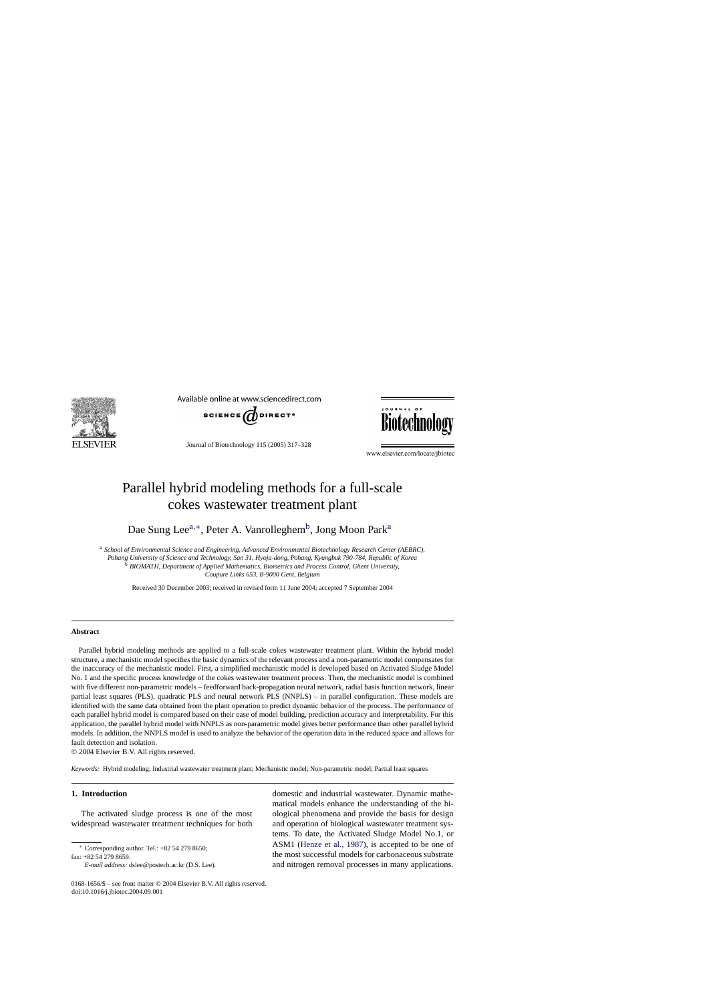

Available online at www.sciencedirect.com



Journal of Biotechnology 115 (2005) 317–328



www.elsevier.com/locate/jbiotec

# Parallel hybrid modeling methods for a full-scale cokes wastewater treatment plant

Dae Sung Lee<sup>a,∗</sup>, Peter A. Vanrolleghem<sup>b</sup>, Jong Moon Park<sup>a</sup>

<sup>a</sup> *School of Environmental Science and Engineering, Advanced Environmental Biotechnology Research Center (AEBRC), Pohang University of Science and Technology, San 31, Hyoja-dong, Pohang, Kyungbuk 790-784, Republic of Korea* <sup>b</sup> *BIOMATH, Department of Applied Mathematics, Biometrics and Process Control, Ghent University, Coupure Links 653, B-9000 Gent, Belgium*

Received 30 December 2003; received in revised form 11 June 2004; accepted 7 September 2004

#### **Abstract**

Parallel hybrid modeling methods are applied to a full-scale cokes wastewater treatment plant. Within the hybrid model structure, a mechanistic model specifies the basic dynamics of the relevant process and a non-parametric model compensates for the inaccuracy of the mechanistic model. First, a simplified mechanistic model is developed based on Activated Sludge Model No. 1 and the specific process knowledge of the cokes wastewater treatment process. Then, the mechanistic model is combined with five different non-parametric models – feedforward back-propagation neural network, radial basis function network, linear partial least squares (PLS), quadratic PLS and neural network PLS (NNPLS) – in parallel configuration. These models are identified with the same data obtained from the plant operation to predict dynamic behavior of the process. The performance of each parallel hybrid model is compared based on their ease of model building, prediction accuracy and interpretability. For this application, the parallel hybrid model with NNPLS as non-parametric model gives better performance than other parallel hybrid models. In addition, the NNPLS model is used to analyze the behavior of the operation data in the reduced space and allows for fault detection and isolation.

© 2004 Elsevier B.V. All rights reserved.

*Keywords:* Hybrid modeling; Industrial wastewater treatment plant; Mechanistic model; Non-parametric model; Partial least squares

#### **1. Introduction**

The activated sludge process is one of the most widespread wastewater treatment techniques for both

∗ Corresponding author. Tel.: +82 54 279 8650;

fax: +82 54 279 8659.

domestic and industrial wastewater. Dynamic mathematical models enhance the understanding of the biological phenomena and provide the basis for design and operation of biological wastewater treatment systems. To date, the Activated Sludge Model No.1, or ASM1 ([Henze et al., 1987\)](#page-10-0), is accepted to be one of the most successful models for carbonaceous substrate and nitrogen removal processes in many applications.

*E-mail address:* dslee@postech.ac.kr (D.S. Lee).

<sup>0168-1656/\$ –</sup> see front matter © 2004 Elsevier B.V. All rights reserved. doi:10.1016/j.jbiotec.2004.09.001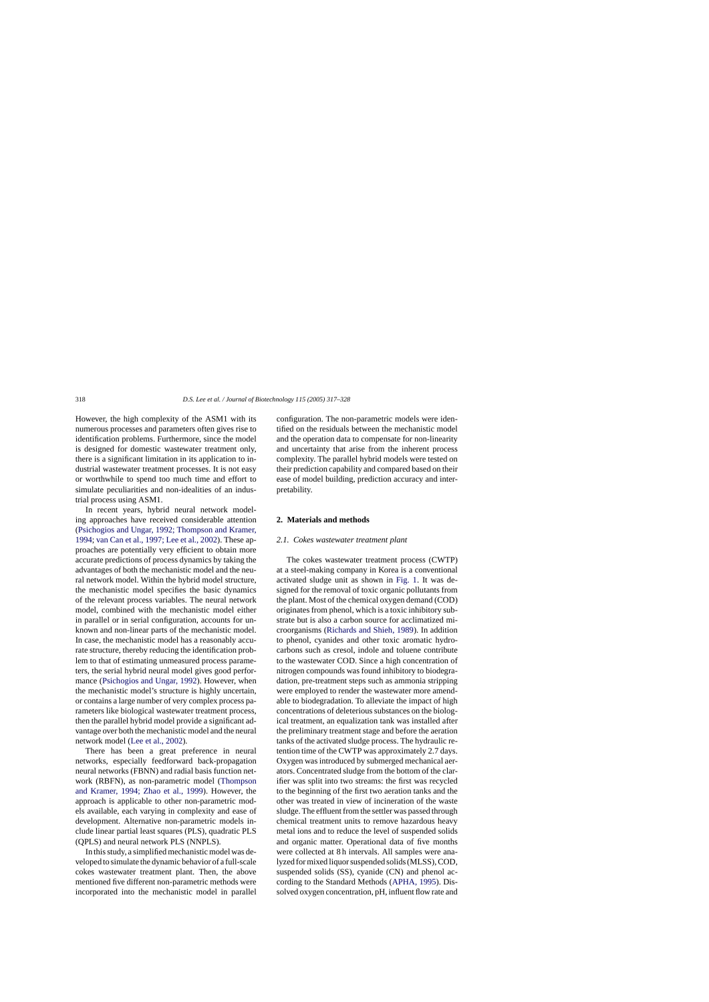However, the high complexity of the ASM1 with its numerous processes and parameters often gives rise to identification problems. Furthermore, since the model is designed for domestic wastewater treatment only, there is a significant limitation in its application to industrial wastewater treatment processes. It is not easy or worthwhile to spend too much time and effort to simulate peculiarities and non-idealities of an industrial process using ASM1.

In recent years, hybrid neural network modeling approaches have received considerable attention ([Psichogios and Ungar, 1992; Thompson and Kramer,](#page-10-0) [1994;](#page-10-0) [van Can et al., 1997; Lee et al., 2002\).](#page-10-0) These approaches are potentially very efficient to obtain more accurate predictions of process dynamics by taking the advantages of both the mechanistic model and the neural network model. Within the hybrid model structure, the mechanistic model specifies the basic dynamics of the relevant process variables. The neural network model, combined with the mechanistic model either in parallel or in serial configuration, accounts for unknown and non-linear parts of the mechanistic model. In case, the mechanistic model has a reasonably accurate structure, thereby reducing the identification problem to that of estimating unmeasured process parameters, the serial hybrid neural model gives good performance ([Psichogios and Ungar, 1992\).](#page-10-0) However, when the mechanistic model's structure is highly uncertain, or contains a large number of very complex process parameters like biological wastewater treatment process, then the parallel hybrid model provide a significant advantage over both the mechanistic model and the neural network model [\(Lee et al., 2002\).](#page-10-0)

There has been a great preference in neural networks, especially feedforward back-propagation neural networks (FBNN) and radial basis function network (RBFN), as non-parametric model [\(Thompson](#page-10-0) [and Kramer, 1994; Zhao et al., 1999](#page-10-0)). However, the approach is applicable to other non-parametric models available, each varying in complexity and ease of development. Alternative non-parametric models include linear partial least squares (PLS), quadratic PLS (QPLS) and neural network PLS (NNPLS).

In this study, a simplified mechanistic model was developed to simulate the dynamic behavior of a full-scale cokes wastewater treatment plant. Then, the above mentioned five different non-parametric methods were incorporated into the mechanistic model in parallel configuration. The non-parametric models were identified on the residuals between the mechanistic model and the operation data to compensate for non-linearity and uncertainty that arise from the inherent process complexity. The parallel hybrid models were tested on their prediction capability and compared based on their ease of model building, prediction accuracy and interpretability.

## **2. Materials and methods**

#### *2.1. Cokes wastewater treatment plant*

The cokes wastewater treatment process (CWTP) at a steel-making company in Korea is a conventional activated sludge unit as shown in [Fig. 1.](#page-2-0) It was designed for the removal of toxic organic pollutants from the plant. Most of the chemical oxygen demand (COD) originates from phenol, which is a toxic inhibitory substrate but is also a carbon source for acclimatized microorganisms [\(Richards and Shieh, 1989\).](#page-10-0) In addition to phenol, cyanides and other toxic aromatic hydrocarbons such as cresol, indole and toluene contribute to the wastewater COD. Since a high concentration of nitrogen compounds was found inhibitory to biodegradation, pre-treatment steps such as ammonia stripping were employed to render the wastewater more amendable to biodegradation. To alleviate the impact of high concentrations of deleterious substances on the biological treatment, an equalization tank was installed after the preliminary treatment stage and before the aeration tanks of the activated sludge process. The hydraulic retention time of the CWTP was approximately 2.7 days. Oxygen was introduced by submerged mechanical aerators. Concentrated sludge from the bottom of the clarifier was split into two streams: the first was recycled to the beginning of the first two aeration tanks and the other was treated in view of incineration of the waste sludge. The effluent from the settler was passed through chemical treatment units to remove hazardous heavy metal ions and to reduce the level of suspended solids and organic matter. Operational data of five months were collected at 8 h intervals. All samples were analyzed for mixed liquor suspended solids (MLSS), COD, suspended solids (SS), cyanide (CN) and phenol according to the Standard Methods ([APHA, 1995\).](#page-10-0) Dissolved oxygen concentration, pH, influent flow rate and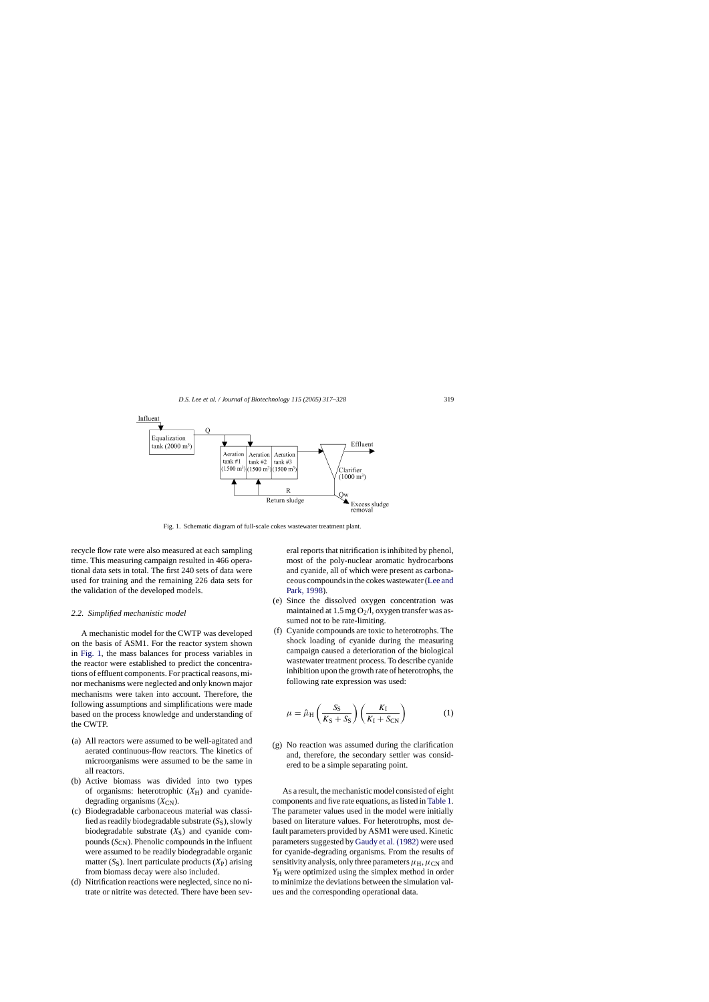<span id="page-2-0"></span>

Fig. 1. Schematic diagram of full-scale cokes wastewater treatment plant.

recycle flow rate were also measured at each sampling time. This measuring campaign resulted in 466 operational data sets in total. The first 240 sets of data were used for training and the remaining 226 data sets for the validation of the developed models.

## *2.2. Simplified mechanistic model*

A mechanistic model for the CWTP was developed on the basis of ASM1. For the reactor system shown in Fig. 1, the mass balances for process variables in the reactor were established to predict the concentrations of effluent components. For practical reasons, minor mechanisms were neglected and only known major mechanisms were taken into account. Therefore, the following assumptions and simplifications were made based on the process knowledge and understanding of the CWTP.

- (a) All reactors were assumed to be well-agitated and aerated continuous-flow reactors. The kinetics of microorganisms were assumed to be the same in all reactors.
- (b) Active biomass was divided into two types of organisms: heterotrophic  $(X_H)$  and cyanidedegrading organisms  $(X_{CN})$ .
- (c) Biodegradable carbonaceous material was classified as readily biodegradable substrate  $(S<sub>S</sub>)$ , slowly biodegradable substrate  $(X<sub>S</sub>)$  and cyanide compounds  $(S_{CN})$ . Phenolic compounds in the influent were assumed to be readily biodegradable organic matter  $(S<sub>S</sub>)$ . Inert particulate products  $(X<sub>P</sub>)$  arising from biomass decay were also included.
- (d) Nitrification reactions were neglected, since no nitrate or nitrite was detected. There have been sev-

eral reports that nitrification is inhibited by phenol, most of the poly-nuclear aromatic hydrocarbons and cyanide, all of which were present as carbonaceous compounds in the cokes wastewater [\(Lee and](#page-10-0) [Park, 1998\).](#page-10-0)

- (e) Since the dissolved oxygen concentration was maintained at  $1.5 \text{ mg O}_2/l$ , oxygen transfer was assumed not to be rate-limiting.
- (f) Cyanide compounds are toxic to heterotrophs. The shock loading of cyanide during the measuring campaign caused a deterioration of the biological wastewater treatment process. To describe cyanide inhibition upon the growth rate of heterotrophs, the following rate expression was used:

$$
\mu = \hat{\mu}_{\rm H} \left( \frac{S_{\rm S}}{K_{\rm S} + S_{\rm S}} \right) \left( \frac{K_{\rm I}}{K_{\rm I} + S_{\rm CN}} \right) \tag{1}
$$

(g) No reaction was assumed during the clarification and, therefore, the secondary settler was considered to be a simple separating point.

As a result, the mechanistic model consisted of eight components and five rate equations, as listed in [Table 1.](#page-3-0) The parameter values used in the model were initially based on literature values. For heterotrophs, most default parameters provided by ASM1 were used. Kinetic parameters suggested by [Gaudy et al. \(1982\)](#page-10-0) were used for cyanide-degrading organisms. From the results of sensitivity analysis, only three parameters  $\mu_{\rm H}$ ,  $\mu_{\rm CN}$  and *Y*H were optimized using the simplex method in order to minimize the deviations between the simulation values and the corresponding operational data.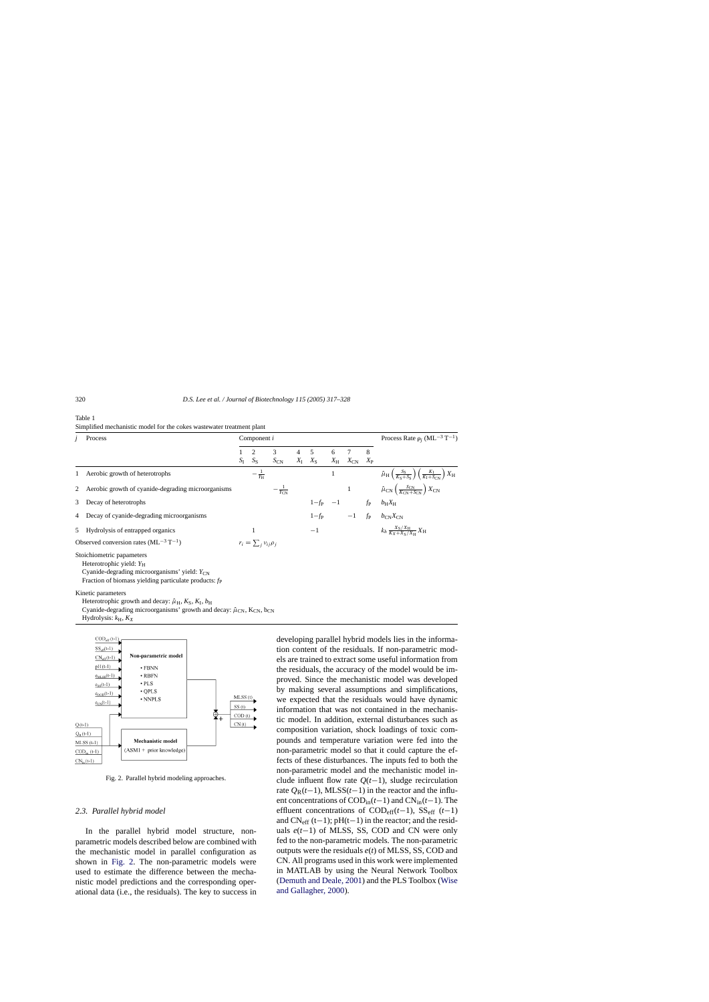#### <span id="page-3-0"></span>Table 1

| Simplified mechanistic model for the cokes was tewater treatment plant |  |
|------------------------------------------------------------------------|--|
|------------------------------------------------------------------------|--|

|                                               | Process                                                                                                                                                                                                                                      | Component i |                              |                            |                |                               |                  |                   |                  | Process Rate $\rho_i$ (ML <sup>-3</sup> T <sup>-1</sup> )                                                                         |
|-----------------------------------------------|----------------------------------------------------------------------------------------------------------------------------------------------------------------------------------------------------------------------------------------------|-------------|------------------------------|----------------------------|----------------|-------------------------------|------------------|-------------------|------------------|-----------------------------------------------------------------------------------------------------------------------------------|
|                                               |                                                                                                                                                                                                                                              | $S_{I}$     | 2<br>$S_{\rm S}$             | 3<br>$S_{\rm CN}$          | $\overline{4}$ | .5<br>$X_{\rm I}$ $X_{\rm S}$ | 6<br>$X_{\rm H}$ | 7<br>$X_{\rm CN}$ | 8<br>$X_{\rm P}$ |                                                                                                                                   |
|                                               | Aerobic growth of heterotrophs                                                                                                                                                                                                               |             | $-\frac{1}{Y_{\rm H}}$       |                            |                |                               | 1                |                   |                  | $\hat{\mu}_{\rm H}\left(\frac{S_{\rm S}}{K_{\rm S}+S_{\rm S}}\right)\left(\frac{K_{\rm I}}{K_{\rm I}+S_{\rm CN}}\right)X_{\rm H}$ |
| 2                                             | Aerobic growth of cyanide-degrading microorganisms                                                                                                                                                                                           |             |                              | $-\frac{1}{Y_{\text{CN}}}$ |                |                               |                  | $\mathbf{1}$      |                  | $\hat{\mu}_{\text{CN}}\left(\frac{S_{\text{CN}}}{K_{\text{CN}}+S_{\text{CN}}}\right)X_{\text{CN}}$                                |
| 3                                             | Decay of heterotrophs                                                                                                                                                                                                                        |             |                              |                            |                | $1-f_{\rm P}$ $-1$            |                  |                   | $f_{\rm P}$      | $b_H X_H$                                                                                                                         |
| 4                                             | Decay of cyanide-degrading microorganisms                                                                                                                                                                                                    |             |                              |                            |                |                               |                  | $1-f_P$ $-1$      | $f_{\rm P}$      | $b_{\rm CN}X_{\rm CN}$                                                                                                            |
| 5                                             | Hydrolysis of entrapped organics                                                                                                                                                                                                             |             |                              |                            |                | $-1$                          |                  |                   |                  | $k_h \frac{X_S/X_H}{K_Y+X_S/X_H} X_H$                                                                                             |
| Observed conversion rates ( $ML^{-3}T^{-1}$ ) |                                                                                                                                                                                                                                              |             | $r_i = \sum_i v_{ij} \rho_j$ |                            |                |                               |                  |                   |                  |                                                                                                                                   |
|                                               | Stoichiometric papameters<br>Heterotrophic yield: $Y_H$<br>Cyanide-degrading microorganisms' yield: $Y_{CN}$<br>Fraction of biomass yielding particulate products: $f_P$                                                                     |             |                              |                            |                |                               |                  |                   |                  |                                                                                                                                   |
|                                               | Kinetic parameters<br>Heterotrophic growth and decay: $\hat{\mu}_{H}$ , $K_{S}$ , $K_{I}$ , $b_{H}$<br>Cyanide-degrading microorganisms' growth and decay: $\hat{\mu}_{CN}$ , K <sub>CN</sub> , b <sub>CN</sub><br>Hydrolysis: $k_H$ , $K_X$ |             |                              |                            |                |                               |                  |                   |                  |                                                                                                                                   |



Fig. 2. Parallel hybrid modeling approaches.

#### *2.3. Parallel hybrid model*

In the parallel hybrid model structure, nonparametric models described below are combined with the mechanistic model in parallel configuration as shown in Fig. 2. The non-parametric models were used to estimate the difference between the mechanistic model predictions and the corresponding operational data (i.e., the residuals). The key to success in developing parallel hybrid models lies in the information content of the residuals. If non-parametric models are trained to extract some useful information from the residuals, the accuracy of the model would be improved. Since the mechanistic model was developed by making several assumptions and simplifications, we expected that the residuals would have dynamic information that was not contained in the mechanistic model. In addition, external disturbances such as composition variation, shock loadings of toxic compounds and temperature variation were fed into the non-parametric model so that it could capture the effects of these disturbances. The inputs fed to both the non-parametric model and the mechanistic model include influent flow rate *Q*(*t*−1), sludge recirculation rate  $Q_R(t-1)$ , MLSS( $t-1$ ) in the reactor and the influent concentrations of CODin(*t*−1) and CNin(*t*−1). The effluent concentrations of CODeff(*t*−1), SSeff (*t*−1) and  $CN_{\text{eff}}$  (t−1); pH(t−1) in the reactor; and the residuals *e*(*t*−1) of MLSS, SS, COD and CN were only fed to the non-parametric models. The non-parametric outputs were the residuals *e*(*t*) of MLSS, SS, COD and CN. All programs used in this work were implemented in MATLAB by using the Neural Network Toolbox ([Demuth and Deale, 2001\) a](#page-10-0)nd the PLS Toolbox ([Wise](#page-11-0) [and Gallagher, 2000\).](#page-11-0)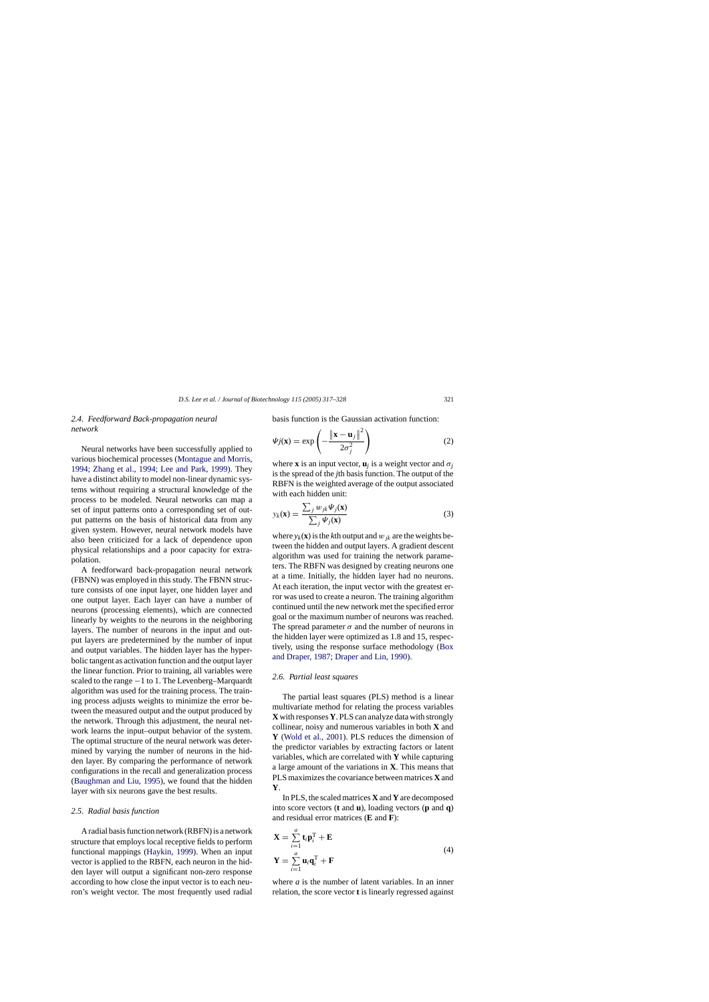## *2.4. Feedforward Back-propagation neural network*

Neural networks have been successfully applied to various biochemical processes ([Montague and Morris,](#page-10-0) [1994; Zhang et al., 1994; Lee and Park, 1999](#page-10-0)). They have a distinct ability to model non-linear dynamic systems without requiring a structural knowledge of the process to be modeled. Neural networks can map a set of input patterns onto a corresponding set of output patterns on the basis of historical data from any given system. However, neural network models have also been criticized for a lack of dependence upon physical relationships and a poor capacity for extrapolation.

A feedforward back-propagation neural network (FBNN) was employed in this study. The FBNN structure consists of one input layer, one hidden layer and one output layer. Each layer can have a number of neurons (processing elements), which are connected linearly by weights to the neurons in the neighboring layers. The number of neurons in the input and output layers are predetermined by the number of input and output variables. The hidden layer has the hyperbolic tangent as activation function and the output layer the linear function. Prior to training, all variables were scaled to the range −1 to 1. The Levenberg–Marquardt algorithm was used for the training process. The training process adjusts weights to minimize the error between the measured output and the output produced by the network. Through this adjustment, the neural network learns the input–output behavior of the system. The optimal structure of the neural network was determined by varying the number of neurons in the hidden layer. By comparing the performance of network configurations in the recall and generalization process ([Baughman and Liu, 1995\),](#page-10-0) we found that the hidden layer with six neurons gave the best results.

## *2.5. Radial basis function*

A radial basis function network (RBFN) is a network structure that employs local receptive fields to perform functional mappings [\(Haykin, 1999\).](#page-10-0) When an input vector is applied to the RBFN, each neuron in the hidden layer will output a significant non-zero response according to how close the input vector is to each neuron's weight vector. The most frequently used radial basis function is the Gaussian activation function:

$$
\Psi j(\mathbf{x}) = \exp\left(-\frac{\|\mathbf{x} - \mathbf{u}_j\|^2}{2\sigma_j^2}\right) \tag{2}
$$

where **x** is an input vector,  $\mathbf{u}_i$  is a weight vector and  $\sigma_i$ is the spread of the *j*th basis function. The output of the RBFN is the weighted average of the output associated with each hidden unit:

$$
y_k(\mathbf{x}) = \frac{\sum_j w_{jk} \Psi_j(\mathbf{x})}{\sum_j \Psi_j(\mathbf{x})}
$$
(3)

where  $y_k(\mathbf{x})$  is the *k*th output and  $w_{ik}$  are the weights between the hidden and output layers. A gradient descent algorithm was used for training the network parameters. The RBFN was designed by creating neurons one at a time. Initially, the hidden layer had no neurons. At each iteration, the input vector with the greatest error was used to create a neuron. The training algorithm continued until the new network met the specified error goal or the maximum number of neurons was reached. The spread parameter  $\sigma$  and the number of neurons in the hidden layer were optimized as 1.8 and 15, respectively, using the response surface methodology [\(Box](#page-10-0) [and Draper, 1987;](#page-10-0) [Draper and Lin, 1990\).](#page-10-0)

### *2.6. Partial least squares*

The partial least squares (PLS) method is a linear multivariate method for relating the process variables **X** with responses **Y**. PLS can analyze data with strongly collinear, noisy and numerous variables in both **X** and **Y** [\(Wold et al., 2001\).](#page-11-0) PLS reduces the dimension of the predictor variables by extracting factors or latent variables, which are correlated with **Y** while capturing a large amount of the variations in **X**. This means that PLS maximizes the covariance between matrices **X** and **Y**.

In PLS, the scaled matrices **X** and **Y** are decomposed into score vectors (**t** and **u**), loading vectors (**p** and **q**) and residual error matrices (**E** and **F**):

$$
\mathbf{X} = \sum_{i=1}^{a} \mathbf{t}_i \mathbf{p}_i^{\mathrm{T}} + \mathbf{E}
$$
  

$$
\mathbf{Y} = \sum_{i=1}^{a} \mathbf{u}_i \mathbf{q}_i^{\mathrm{T}} + \mathbf{F}
$$
 (4)

where *a* is the number of latent variables. In an inner relation, the score vector **t** is linearly regressed against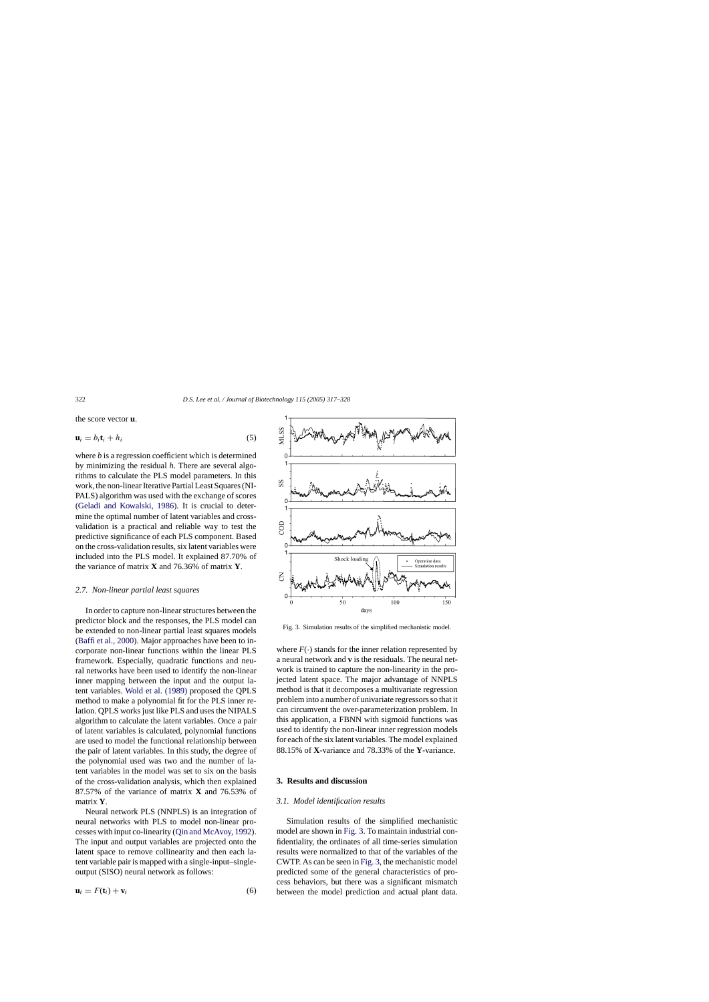<span id="page-5-0"></span>the score vector **u**.

$$
\mathbf{u}_i = b_i \mathbf{t}_i + h_i \tag{5}
$$

where *b* is a regression coefficient which is determined by minimizing the residual *h*. There are several algorithms to calculate the PLS model parameters. In this work, the non-linear Iterative Partial Least Squares (NI-PALS) algorithm was used with the exchange of scores ([Geladi and Kowalski, 1986](#page-10-0)). It is crucial to determine the optimal number of latent variables and crossvalidation is a practical and reliable way to test the predictive significance of each PLS component. Based on the cross-validation results, six latent variables were included into the PLS model. It explained 87.70% of the variance of matrix **X** and 76.36% of matrix **Y**.

#### *2.7. Non-linear partial least squares*

In order to capture non-linear structures between the predictor block and the responses, the PLS model can be extended to non-linear partial least squares models ([Baffi et al., 2000\).](#page-10-0) Major approaches have been to incorporate non-linear functions within the linear PLS framework. Especially, quadratic functions and neural networks have been used to identify the non-linear inner mapping between the input and the output latent variables. [Wold et al. \(1989\)](#page-11-0) proposed the QPLS method to make a polynomial fit for the PLS inner relation. QPLS works just like PLS and uses the NIPALS algorithm to calculate the latent variables. Once a pair of latent variables is calculated, polynomial functions are used to model the functional relationship between the pair of latent variables. In this study, the degree of the polynomial used was two and the number of latent variables in the model was set to six on the basis of the cross-validation analysis, which then explained 87.57% of the variance of matrix **X** and 76.53% of matrix **Y**.

Neural network PLS (NNPLS) is an integration of neural networks with PLS to model non-linear processes with input co-linearity [\(Qin and McAvoy, 1992\).](#page-10-0) The input and output variables are projected onto the latent space to remove collinearity and then each latent variable pair is mapped with a single-input–singleoutput (SISO) neural network as follows:

$$
\mathbf{u}_i = F(\mathbf{t}_i) + \mathbf{v}_i \tag{6}
$$



Fig. 3. Simulation results of the simplified mechanistic model.

where  $F(\cdot)$  stands for the inner relation represented by a neural network and **v** is the residuals. The neural network is trained to capture the non-linearity in the projected latent space. The major advantage of NNPLS method is that it decomposes a multivariate regression problem into a number of univariate regressors so that it can circumvent the over-parameterization problem. In this application, a FBNN with sigmoid functions was used to identify the non-linear inner regression models for each of the six latent variables. The model explained 88.15% of **X**-variance and 78.33% of the **Y**-variance.

## **3. Results and discussion**

#### *3.1. Model identification results*

Simulation results of the simplified mechanistic model are shown in Fig. 3. To maintain industrial confidentiality, the ordinates of all time-series simulation results were normalized to that of the variables of the CWTP. As can be seen in Fig. 3, the mechanistic model predicted some of the general characteristics of process behaviors, but there was a significant mismatch between the model prediction and actual plant data.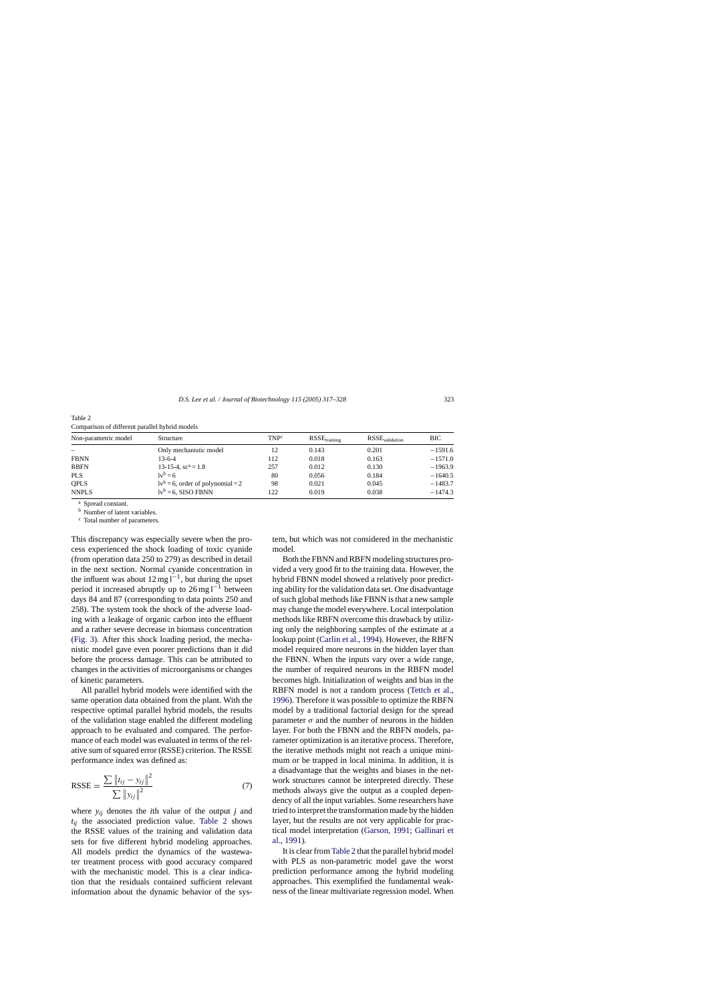| Non-parametric model | Structure                           | <b>TNP</b> <sup>c</sup> | $RSSE_{training}$ | $RSSE_{validation}$ | <b>BIC</b> |  |  |  |  |
|----------------------|-------------------------------------|-------------------------|-------------------|---------------------|------------|--|--|--|--|
|                      | Only mechanistic model              | 12                      | 0.143             | 0.201               | $-1591.6$  |  |  |  |  |
| <b>FBNN</b>          | $13-6-4$                            | 112                     | 0.018             | 0.163               | $-1571.0$  |  |  |  |  |
| <b>RBFN</b>          | 13-15-4, $sc^2 = 1.8$               | 257                     | 0.012             | 0.130               | $-1963.9$  |  |  |  |  |
| <b>PLS</b>           | $1v^b = 6$                          | 80                      | 0.056             | 0.184               | $-1640.5$  |  |  |  |  |
| <b>QPLS</b>          | $1vb = 6$ , order of polynomial = 2 | 98                      | 0.021             | 0.045               | $-1483.7$  |  |  |  |  |
| <b>NNPLS</b>         | $1vb = 6$ . SISO FBNN               | 122                     | 0.019             | 0.038               | $-1474.3$  |  |  |  |  |

<span id="page-6-0"></span>Table 2 Comparison of different parallel hybrid models

<sup>a</sup> Spread constant.

**b** Number of latent variables.

<sup>c</sup> Total number of parameters.

This discrepancy was especially severe when the process experienced the shock loading of toxic cyanide (from operation data 250 to 279) as described in detail in the next section. Normal cyanide concentration in the influent was about  $12 \text{ mg l}^{-1}$ , but during the upset period it increased abruptly up to 26 mg l−<sup>1</sup> between days 84 and 87 (corresponding to data points 250 and 258). The system took the shock of the adverse loading with a leakage of organic carbon into the effluent and a rather severe decrease in biomass concentration ([Fig. 3\).](#page-5-0) After this shock loading period, the mechanistic model gave even poorer predictions than it did before the process damage. This can be attributed to changes in the activities of microorganisms or changes of kinetic parameters.

All parallel hybrid models were identified with the same operation data obtained from the plant. With the respective optimal parallel hybrid models, the results of the validation stage enabled the different modeling approach to be evaluated and compared. The performance of each model was evaluated in terms of the relative sum of squared error (RSSE) criterion. The RSSE performance index was defined as:

$$
RSSE = \frac{\sum \|t_{ij} - y_{ij}\|^2}{\sum \|y_{ij}\|^2}
$$
 (7)

where  $y_{ij}$  denotes the *i*th value of the output *j* and  $t_{ij}$  the associated prediction value. Table 2 shows the RSSE values of the training and validation data sets for five different hybrid modeling approaches. All models predict the dynamics of the wastewater treatment process with good accuracy compared with the mechanistic model. This is a clear indication that the residuals contained sufficient relevant information about the dynamic behavior of the system, but which was not considered in the mechanistic model.

Both the FBNN and RBFN modeling structures provided a very good fit to the training data. However, the hybrid FBNN model showed a relatively poor predicting ability for the validation data set. One disadvantage of such global methods like FBNN is that a new sample may change the model everywhere. Local interpolation methods like RBFN overcome this drawback by utilizing only the neighboring samples of the estimate at a lookup point ([Carlin et al., 1994\).](#page-10-0) However, the RBFN model required more neurons in the hidden layer than the FBNN. When the inputs vary over a wide range, the number of required neurons in the RBFN model becomes high. Initialization of weights and bias in the RBFN model is not a random process ([Tettch et al.,](#page-10-0) [1996\).](#page-10-0) Therefore it was possible to optimize the RBFN model by a traditional factorial design for the spread parameter  $\sigma$  and the number of neurons in the hidden layer. For both the FBNN and the RBFN models, parameter optimization is an iterative process. Therefore, the iterative methods might not reach a unique minimum or be trapped in local minima. In addition, it is a disadvantage that the weights and biases in the network structures cannot be interpreted directly. These methods always give the output as a coupled dependency of all the input variables. Some researchers have tried to interpret the transformation made by the hidden layer, but the results are not very applicable for practical model interpretation ([Garson, 1991; Gallinari et](#page-10-0) [al., 1991\).](#page-10-0)

It is clear from Table 2 that the parallel hybrid model with PLS as non-parametric model gave the worst prediction performance among the hybrid modeling approaches. This exemplified the fundamental weakness of the linear multivariate regression model. When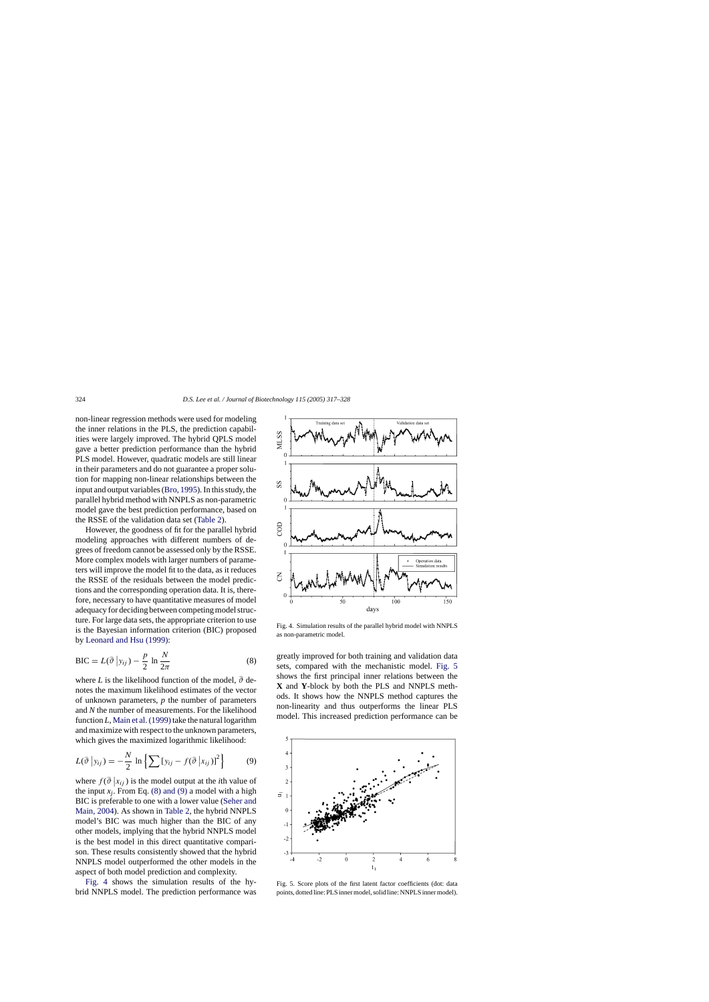non-linear regression methods were used for modeling the inner relations in the PLS, the prediction capabilities were largely improved. The hybrid QPLS model gave a better prediction performance than the hybrid PLS model. However, quadratic models are still linear in their parameters and do not guarantee a proper solution for mapping non-linear relationships between the input and output variables [\(Bro, 1995\).](#page-10-0) In this study, the parallel hybrid method with NNPLS as non-parametric model gave the best prediction performance, based on the RSSE of the validation data set [\(Table 2\).](#page-6-0)

However, the goodness of fit for the parallel hybrid modeling approaches with different numbers of degrees of freedom cannot be assessed only by the RSSE. More complex models with larger numbers of parameters will improve the model fit to the data, as it reduces the RSSE of the residuals between the model predictions and the corresponding operation data. It is, therefore, necessary to have quantitative measures of model adequacy for deciding between competing model structure. For large data sets, the appropriate criterion to use is the Bayesian information criterion (BIC) proposed by [Leonard and Hsu \(1999\):](#page-10-0)

$$
BIC = L(\hat{\vartheta} | y_{ij}) - \frac{p}{2} \ln \frac{N}{2\pi}
$$
 (8)

where *L* is the likelihood function of the model,  $\hat{\vartheta}$  denotes the maximum likelihood estimates of the vector of unknown parameters, *p* the number of parameters and *N* the number of measurements. For the likelihood function *L*, Main et al. (1999) take the natural logarithm and maximize with respect to the unknown parameters, which gives the maximized logarithmic likelihood:

$$
L(\widehat{\vartheta} \, | y_{ij}) = -\frac{N}{2} \ln \left\{ \sum [y_{ij} - f(\widehat{\vartheta} \, | x_{ij})]^2 \right\} \tag{9}
$$

where  $f(\hat{\theta} | x_{ij})$  is the model output at the *i*th value of the input  $x_i$ . From Eq. (8) and (9) a model with a high BIC is preferable to one with a lower value [\(Seher and](#page-10-0) [Main, 2004\).](#page-10-0) As shown in [Table 2,](#page-6-0) the hybrid NNPLS model's BIC was much higher than the BIC of any other models, implying that the hybrid NNPLS model is the best model in this direct quantitative comparison. These results consistently showed that the hybrid NNPLS model outperformed the other models in the aspect of both model prediction and complexity.

Fig. 4 shows the simulation results of the hybrid NNPLS model. The prediction performance was



Fig. 4. Simulation results of the parallel hybrid model with NNPLS as non-parametric model.

greatly improved for both training and validation data sets, compared with the mechanistic model. Fig. 5 shows the first principal inner relations between the **X** and **Y**-block by both the PLS and NNPLS methods. It shows how the NNPLS method captures the non-linearity and thus outperforms the linear PLS model. This increased prediction performance can be



Fig. 5. Score plots of the first latent factor coefficients (dot: data points, dotted line: PLS inner model, solid line: NNPLS inner model).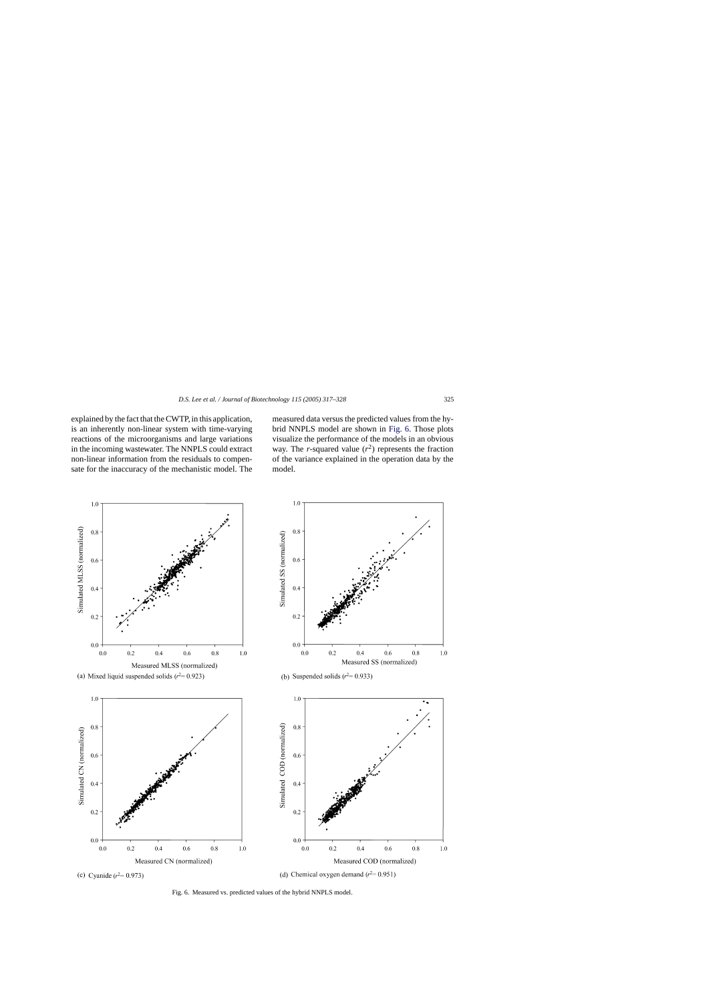explained by the fact that the CWTP, in this application, is an inherently non-linear system with time-varying reactions of the microorganisms and large variations in the incoming wastewater. The NNPLS could extract non-linear information from the residuals to compensate for the inaccuracy of the mechanistic model. The

measured data versus the predicted values from the hybrid NNPLS model are shown in Fig. 6. Those plots visualize the performance of the models in an obvious way. The *r*-squared value  $(r^2)$  represents the fraction of the variance explained in the operation data by the model.



Fig. 6. Measured vs. predicted values of the hybrid NNPLS model.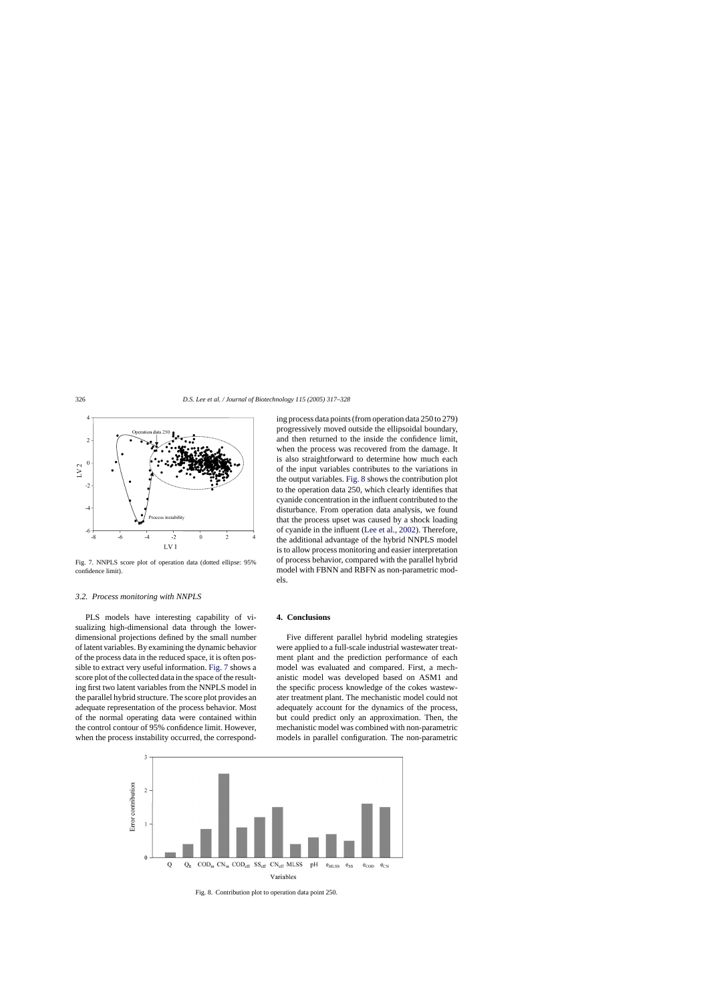

Fig. 7. NNPLS score plot of operation data (dotted ellipse: 95% confidence limit).

## *3.2. Process monitoring with NNPLS*

PLS models have interesting capability of visualizing high-dimensional data through the lowerdimensional projections defined by the small number of latent variables. By examining the dynamic behavior of the process data in the reduced space, it is often possible to extract very useful information. Fig. 7 shows a score plot of the collected data in the space of the resulting first two latent variables from the NNPLS model in the parallel hybrid structure. The score plot provides an adequate representation of the process behavior. Most of the normal operating data were contained within the control contour of 95% confidence limit. However, when the process instability occurred, the corresponding process data points (from operation data 250 to 279) progressively moved outside the ellipsoidal boundary, and then returned to the inside the confidence limit, when the process was recovered from the damage. It is also straightforward to determine how much each of the input variables contributes to the variations in the output variables. Fig. 8 shows the contribution plot to the operation data 250, which clearly identifies that cyanide concentration in the influent contributed to the disturbance. From operation data analysis, we found that the process upset was caused by a shock loading of cyanide in the influent ([Lee et al., 2002\).](#page-10-0) Therefore, the additional advantage of the hybrid NNPLS model is to allow process monitoring and easier interpretation of process behavior, compared with the parallel hybrid model with FBNN and RBFN as non-parametric models.

## **4. Conclusions**

Five different parallel hybrid modeling strategies were applied to a full-scale industrial wastewater treatment plant and the prediction performance of each model was evaluated and compared. First, a mechanistic model was developed based on ASM1 and the specific process knowledge of the cokes wastewater treatment plant. The mechanistic model could not adequately account for the dynamics of the process, but could predict only an approximation. Then, the mechanistic model was combined with non-parametric models in parallel configuration. The non-parametric



Fig. 8. Contribution plot to operation data point 250.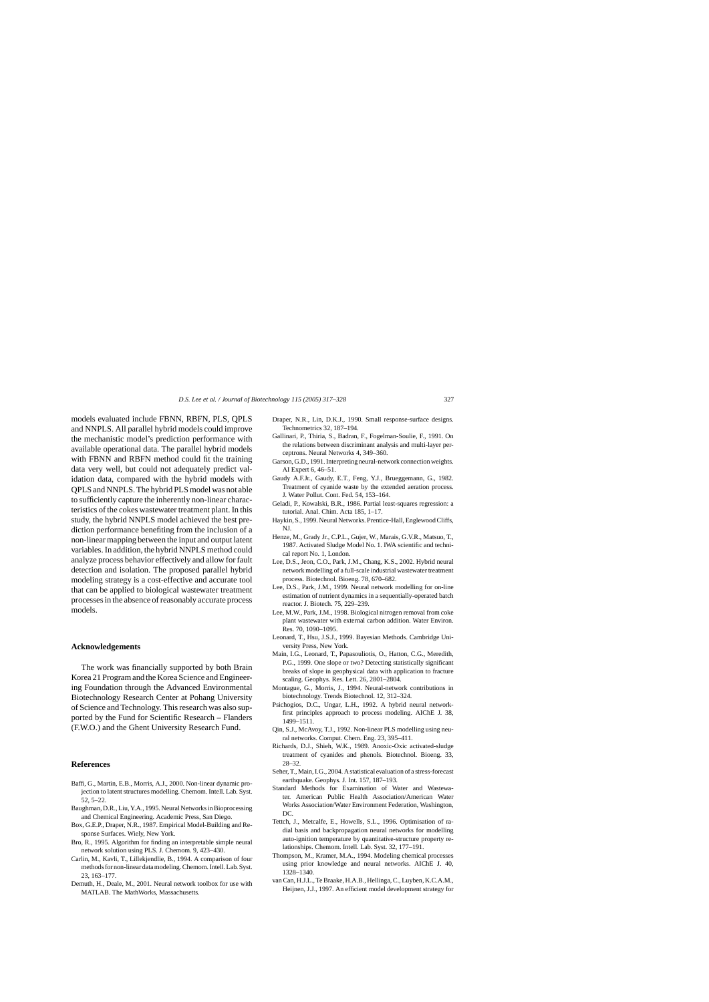<span id="page-10-0"></span>models evaluated include FBNN, RBFN, PLS, QPLS and NNPLS. All parallel hybrid models could improve the mechanistic model's prediction performance with available operational data. The parallel hybrid models with FBNN and RBFN method could fit the training data very well, but could not adequately predict validation data, compared with the hybrid models with QPLS and NNPLS. The hybrid PLS model was not able to sufficiently capture the inherently non-linear characteristics of the cokes wastewater treatment plant. In this study, the hybrid NNPLS model achieved the best prediction performance benefiting from the inclusion of a non-linear mapping between the input and output latent variables. In addition, the hybrid NNPLS method could analyze process behavior effectively and allow for fault detection and isolation. The proposed parallel hybrid modeling strategy is a cost-effective and accurate tool that can be applied to biological wastewater treatment processes in the absence of reasonably accurate process models.

## **Acknowledgements**

The work was financially supported by both Brain Korea 21 Program and the Korea Science and Engineering Foundation through the Advanced Environmental Biotechnology Research Center at Pohang University of Science and Technology. This research was also supported by the Fund for Scientific Research – Flanders (F.W.O.) and the Ghent University Research Fund.

#### **References**

- Baffi, G., Martin, E.B., Morris, A.J., 2000. Non-linear dynamic projection to latent structures modelling. Chemom. Intell. Lab. Syst. 52, 5–22.
- Baughman, D.R., Liu, Y.A., 1995. Neural Networks in Bioprocessing and Chemical Engineering. Academic Press, San Diego.
- Box, G.E.P., Draper, N.R., 1987. Empirical Model-Building and Response Surfaces. Wiely, New York.
- Bro, R., 1995. Algorithm for finding an interpretable simple neural network solution using PLS. J. Chemom. 9, 423–430.
- Carlin, M., Kavli, T., Lillekjendlie, B., 1994. A comparison of four methods for non-linear data modeling. Chemom. Intell. Lab. Syst. 23, 163–177.
- Demuth, H., Deale, M., 2001. Neural network toolbox for use with MATLAB. The MathWorks, Massachusetts.
- Draper, N.R., Lin, D.K.J., 1990. Small response-surface designs. Technometrics 32, 187–194.
- Gallinari, P., Thiria, S., Badran, F., Fogelman-Soulie, F., 1991. On the relations between discriminant analysis and multi-layer perceptrons. Neural Networks 4, 349–360.
- Garson, G.D., 1991. Interpreting neural-network connection weights. AI Expert 6, 46–51.
- Gaudy A.F.Jr., Gaudy, E.T., Feng, Y.J., Brueggemann, G., 1982. Treatment of cyanide waste by the extended aeration process. J. Water Pollut. Cont. Fed. 54, 153–164.
- Geladi, P., Kowalski, B.R., 1986. Partial least-squares regression: a tutorial. Anal. Chim. Acta 185, 1–17.
- Haykin, S., 1999. Neural Networks. Prentice-Hall, Englewood Cliffs, NJ.
- Henze, M., Grady Jr., C.P.L., Gujer, W., Marais, G.V.R., Matsuo, T., 1987. Activated Sludge Model No. 1. IWA scientific and technical report No. 1, London.
- Lee, D.S., Jeon, C.O., Park, J.M., Chang, K.S., 2002. Hybrid neural network modelling of a full-scale industrial wastewater treatment process. Biotechnol. Bioeng. 78, 670–682.
- Lee, D.S., Park, J.M., 1999. Neural network modelling for on-line estimation of nutrient dynamics in a sequentially-operated batch reactor. J. Biotech. 75, 229–239.
- Lee, M.W., Park, J.M., 1998. Biological nitrogen removal from coke plant wastewater with external carbon addition. Water Environ. Res. 70, 1090–1095.
- Leonard, T., Hsu, J.S.J., 1999. Bayesian Methods. Cambridge University Press, New York.
- Main, I.G., Leonard, T., Papasouliotis, O., Hatton, C.G., Meredith, P.G., 1999. One slope or two? Detecting statistically significant breaks of slope in geophysical data with application to fracture scaling. Geophys. Res. Lett. 26, 2801–2804.
- Montague, G., Morris, J., 1994. Neural-network contributions in biotechnology. Trends Biotechnol. 12, 312–324.
- Psichogios, D.C., Ungar, L.H., 1992. A hybrid neural networkfirst principles approach to process modeling. AIChE J. 38, 1499–1511.
- Qin, S.J., McAvoy, T.J., 1992. Non-linear PLS modelling using neural networks. Comput. Chem. Eng. 23, 395–411.
- Richards, D.J., Shieh, W.K., 1989. Anoxic-Oxic activated-sludge treatment of cyanides and phenols. Biotechnol. Bioeng. 33, 28–32.
- Seher, T., Main, I.G., 2004. A statistical evaluation of a stress-forecast earthquake. Geophys. J. Int. 157, 187–193.
- Standard Methods for Examination of Water and Wastewater. American Public Health Association/American Water Works Association/Water Environment Federation, Washington, DC.
- Tettch, J., Metcalfe, E., Howells, S.L., 1996. Optimisation of radial basis and backpropagation neural networks for modelling auto-ignition temperature by quantitative-structure property relationships. Chemom. Intell. Lab. Syst. 32, 177–191.
- Thompson, M., Kramer, M.A., 1994. Modeling chemical processes using prior knowledge and neural networks. AIChE J. 40, 1328–1340.
- van Can, H.J.L., Te Braake, H.A.B., Hellinga, C., Luyben, K.C.A.M., Heijnen, J.J., 1997. An efficient model development strategy for